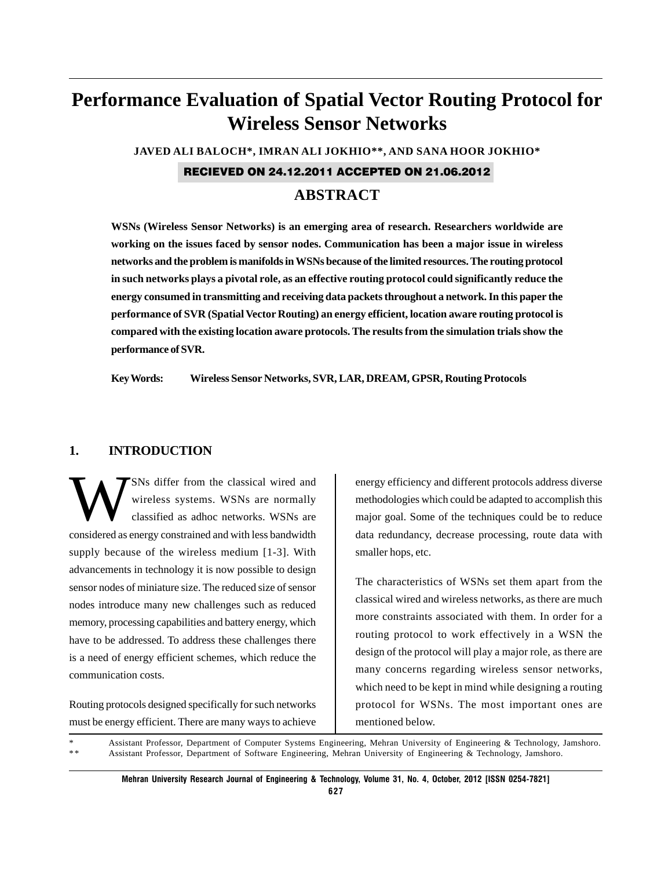# **Performance Evaluation of Spatial Vector Routing Protocol for Wireless Sensor Networks**

**JAVED ALI BALOCH\*, IMRAN ALI JOKHIO\*\*, AND SANA HOOR JOKHIO\***

RECIEVED ON 24.12.2011 ACCEPTED ON 21.06.2012

# **ABSTRACT**

**WSNs (Wireless Sensor Networks) is an emerging area of research. Researchers worldwide are working on the issues faced by sensor nodes. Communication has been a major issue in wireless networks and the problem is manifolds in WSNs because of the limited resources. The routing protocol in such networks plays a pivotal role, as an effective routing protocol could significantly reduce the energy consumed in transmitting and receiving data packets throughout a network. In this paper the performance of SVR (Spatial Vector Routing) an energy efficient, location aware routing protocol is compared with the existing location aware protocols. The results from the simulation trials show the performance of SVR.**

**Key Words: Wireless Sensor Networks, SVR, LAR, DREAM, GPSR, Routing Protocols**

## **1. INTRODUCTION**

SNs differ from the classical wired and wireless systems. WSNs are normally classified as adhoc networks. WSNs are considered as energy constrained and with less bandwidth supply because of the wireless medium [1-3]. With advancements in technology it is now possible to design sensor nodes of miniature size. The reduced size of sensor nodes introduce many new challenges such as reduced memory, processing capabilities and battery energy, which have to be addressed. To address these challenges there is a need of energy efficient schemes, which reduce the communication costs.

Routing protocols designed specifically for such networks must be energy efficient. There are many ways to achieve energy efficiency and different protocols address diverse methodologies which could be adapted to accomplish this major goal. Some of the techniques could be to reduce data redundancy, decrease processing, route data with smaller hops, etc.

The characteristics of WSNs set them apart from the classical wired and wireless networks, as there are much more constraints associated with them. In order for a routing protocol to work effectively in a WSN the design of the protocol will play a major role, as there are many concerns regarding wireless sensor networks, which need to be kept in mind while designing a routing protocol for WSNs. The most important ones are mentioned below.

\* Assistant Professor, Department of Computer Systems Engineering, Mehran University of Engineering & Technology, Jamshoro.<br>\*\* Assistant Professor, Department of Software Engineering, Mehran University of Engineering & Tec Assistant Professor, Department of Software Engineering, Mehran University of Engineering & Technology, Jamshoro.

**Mehran University Research Journal of Engineering & Technology, Volume 31, No. 4, October, 2012 [ISSN 0254-7821]**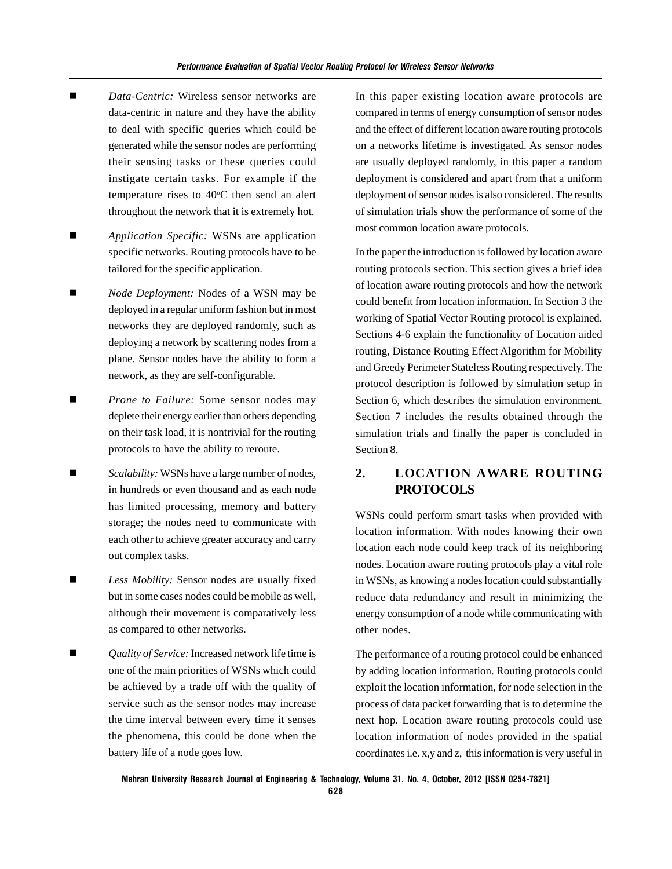- *Data-Centric:* Wireless sensor networks are data-centric in nature and they have the ability to deal with specific queries which could be generated while the sensor nodes are performing their sensing tasks or these queries could instigate certain tasks. For example if the temperature rises to 40°C then send an alert throughout the network that it is extremely hot.
- *Application Specific:* WSNs are application specific networks. Routing protocols have to be tailored for the specific application.
- *Node Deployment:* Nodes of a WSN may be deployed in a regular uniform fashion but in most networks they are deployed randomly, such as deploying a network by scattering nodes from a plane. Sensor nodes have the ability to form a network, as they are self-configurable.
- *Prone to Failure:* Some sensor nodes may deplete their energy earlier than others depending on their task load, it is nontrivial for the routing protocols to have the ability to reroute.
- *Scalability:* WSNs have a large number of nodes, in hundreds or even thousand and as each node has limited processing, memory and battery storage; the nodes need to communicate with each other to achieve greater accuracy and carry out complex tasks.
- *Less Mobility:* Sensor nodes are usually fixed but in some cases nodes could be mobile as well, although their movement is comparatively less as compared to other networks.
- *Quality of Service:* Increased network life time is one of the main priorities of WSNs which could be achieved by a trade off with the quality of service such as the sensor nodes may increase the time interval between every time it senses the phenomena, this could be done when the battery life of a node goes low.

In this paper existing location aware protocols are compared in terms of energy consumption of sensor nodes and the effect of different location aware routing protocols on a networks lifetime is investigated. As sensor nodes are usually deployed randomly, in this paper a random deployment is considered and apart from that a uniform deployment of sensor nodes is also considered. The results of simulation trials show the performance of some of the most common location aware protocols.

In the paper the introduction is followed by location aware routing protocols section. This section gives a brief idea of location aware routing protocols and how the network could benefit from location information. In Section 3 the working of Spatial Vector Routing protocol is explained. Sections 4-6 explain the functionality of Location aided routing, Distance Routing Effect Algorithm for Mobility and Greedy Perimeter Stateless Routing respectively. The protocol description is followed by simulation setup in Section 6, which describes the simulation environment. Section 7 includes the results obtained through the simulation trials and finally the paper is concluded in Section 8.

# **2. LOCATION AWARE ROUTING PROTOCOLS**

WSNs could perform smart tasks when provided with location information. With nodes knowing their own location each node could keep track of its neighboring nodes. Location aware routing protocols play a vital role in WSNs, as knowing a nodes location could substantially reduce data redundancy and result in minimizing the energy consumption of a node while communicating with other nodes.

The performance of a routing protocol could be enhanced by adding location information. Routing protocols could exploit the location information, for node selection in the process of data packet forwarding that is to determine the next hop. Location aware routing protocols could use location information of nodes provided in the spatial coordinates i.e. x,y and z, this information is very useful in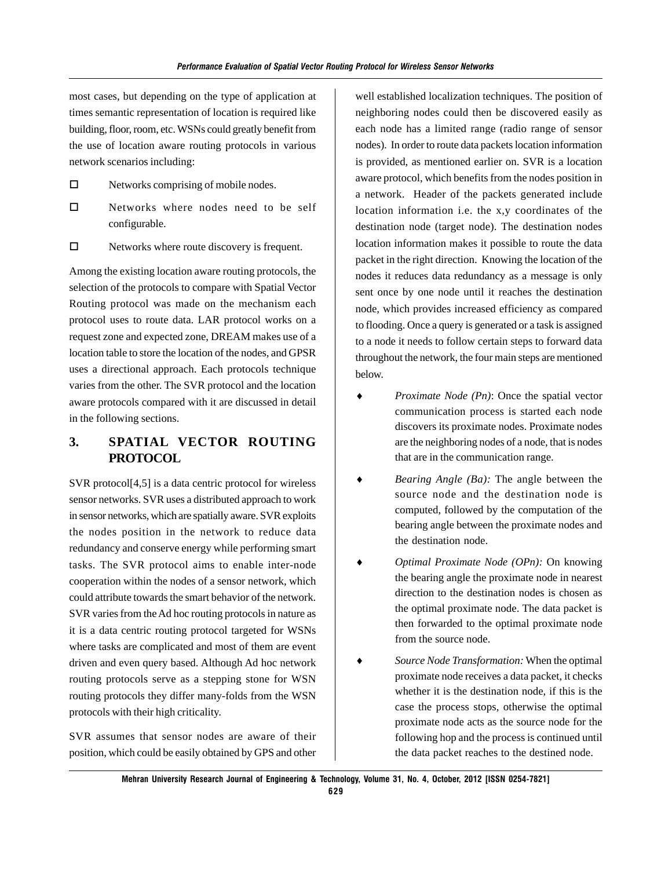most cases, but depending on the type of application at times semantic representation of location is required like building, floor, room, etc. WSNs could greatly benefit from the use of location aware routing protocols in various network scenarios including:

- $\Box$  Networks comprising of mobile nodes.
- Networks where nodes need to be self configurable.
- $\Box$  Networks where route discovery is frequent.

Among the existing location aware routing protocols, the selection of the protocols to compare with Spatial Vector Routing protocol was made on the mechanism each protocol uses to route data. LAR protocol works on a request zone and expected zone, DREAM makes use of a location table to store the location of the nodes, and GPSR uses a directional approach. Each protocols technique varies from the other. The SVR protocol and the location aware protocols compared with it are discussed in detail in the following sections.

## **3. SPATIAL VECTOR ROUTING PROTOCOL**

SVR protocol[4,5] is a data centric protocol for wireless sensor networks. SVR uses a distributed approach to work in sensor networks, which are spatially aware. SVR exploits the nodes position in the network to reduce data redundancy and conserve energy while performing smart tasks. The SVR protocol aims to enable inter-node cooperation within the nodes of a sensor network, which could attribute towards the smart behavior of the network. SVR varies from the Ad hoc routing protocols in nature as it is a data centric routing protocol targeted for WSNs where tasks are complicated and most of them are event driven and even query based. Although Ad hoc network routing protocols serve as a stepping stone for WSN routing protocols they differ many-folds from the WSN protocols with their high criticality.

SVR assumes that sensor nodes are aware of their position, which could be easily obtained by GPS and other well established localization techniques. The position of neighboring nodes could then be discovered easily as each node has a limited range (radio range of sensor nodes). In order to route data packets location information is provided, as mentioned earlier on. SVR is a location aware protocol, which benefits from the nodes position in a network. Header of the packets generated include location information i.e. the x,y coordinates of the destination node (target node). The destination nodes location information makes it possible to route the data packet in the right direction. Knowing the location of the nodes it reduces data redundancy as a message is only sent once by one node until it reaches the destination node, which provides increased efficiency as compared to flooding. Once a query is generated or a task is assigned to a node it needs to follow certain steps to forward data throughout the network, the four main steps are mentioned below.

- *Proximate Node (Pn)*: Once the spatial vector communication process is started each node discovers its proximate nodes. Proximate nodes are the neighboring nodes of a node, that is nodes that are in the communication range.
- ♦ *Bearing Angle (Ba):* The angle between the source node and the destination node is computed, followed by the computation of the bearing angle between the proximate nodes and the destination node.
- *Optimal Proximate Node (OPn):* On knowing the bearing angle the proximate node in nearest direction to the destination nodes is chosen as the optimal proximate node. The data packet is then forwarded to the optimal proximate node from the source node.
- Source *Node Transformation*: When the optimal proximate node receives a data packet, it checks whether it is the destination node, if this is the case the process stops, otherwise the optimal proximate node acts as the source node for the following hop and the process is continued until the data packet reaches to the destined node.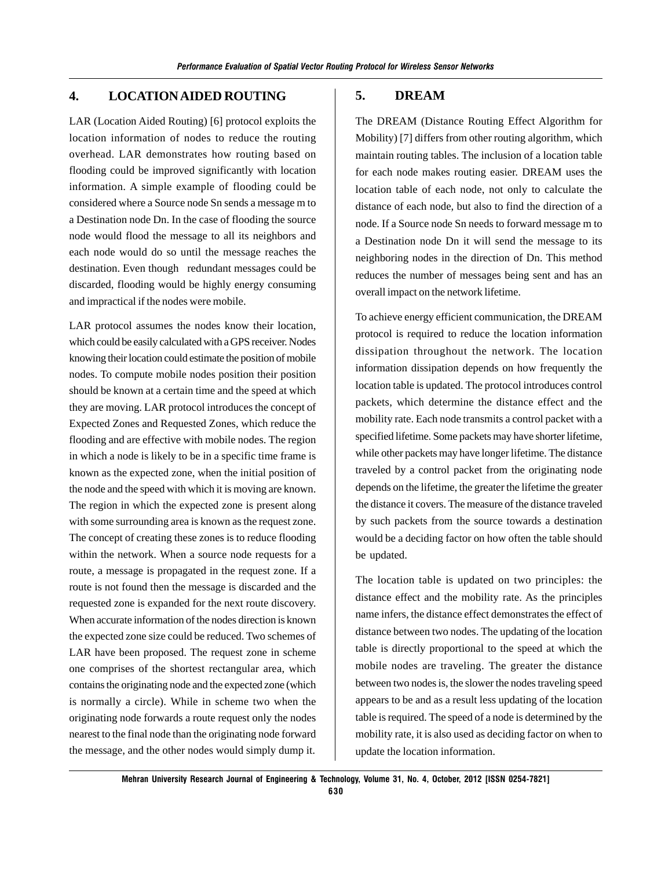## **4. LOCATION AIDED ROUTING**

LAR (Location Aided Routing) [6] protocol exploits the location information of nodes to reduce the routing overhead. LAR demonstrates how routing based on flooding could be improved significantly with location information. A simple example of flooding could be considered where a Source node Sn sends a message m to a Destination node Dn. In the case of flooding the source node would flood the message to all its neighbors and each node would do so until the message reaches the destination. Even though redundant messages could be discarded, flooding would be highly energy consuming and impractical if the nodes were mobile.

LAR protocol assumes the nodes know their location, which could be easily calculated with a GPS receiver. Nodes knowing their location could estimate the position of mobile nodes. To compute mobile nodes position their position should be known at a certain time and the speed at which they are moving. LAR protocol introduces the concept of Expected Zones and Requested Zones, which reduce the flooding and are effective with mobile nodes. The region in which a node is likely to be in a specific time frame is known as the expected zone, when the initial position of the node and the speed with which it is moving are known. The region in which the expected zone is present along with some surrounding area is known as the request zone. The concept of creating these zones is to reduce flooding within the network. When a source node requests for a route, a message is propagated in the request zone. If a route is not found then the message is discarded and the requested zone is expanded for the next route discovery. When accurate information of the nodes direction is known the expected zone size could be reduced. Two schemes of LAR have been proposed. The request zone in scheme one comprises of the shortest rectangular area, which contains the originating node and the expected zone (which is normally a circle). While in scheme two when the originating node forwards a route request only the nodes nearest to the final node than the originating node forward the message, and the other nodes would simply dump it.

#### **5. DREAM**

The DREAM (Distance Routing Effect Algorithm for Mobility) [7] differs from other routing algorithm, which maintain routing tables. The inclusion of a location table for each node makes routing easier. DREAM uses the location table of each node, not only to calculate the distance of each node, but also to find the direction of a node. If a Source node Sn needs to forward message m to a Destination node Dn it will send the message to its neighboring nodes in the direction of Dn. This method reduces the number of messages being sent and has an overall impact on the network lifetime.

To achieve energy efficient communication, the DREAM protocol is required to reduce the location information dissipation throughout the network. The location information dissipation depends on how frequently the location table is updated. The protocol introduces control packets, which determine the distance effect and the mobility rate. Each node transmits a control packet with a specified lifetime. Some packets may have shorter lifetime, while other packets may have longer lifetime. The distance traveled by a control packet from the originating node depends on the lifetime, the greater the lifetime the greater the distance it covers. The measure of the distance traveled by such packets from the source towards a destination would be a deciding factor on how often the table should be updated.

The location table is updated on two principles: the distance effect and the mobility rate. As the principles name infers, the distance effect demonstrates the effect of distance between two nodes. The updating of the location table is directly proportional to the speed at which the mobile nodes are traveling. The greater the distance between two nodes is, the slower the nodes traveling speed appears to be and as a result less updating of the location table is required. The speed of a node is determined by the mobility rate, it is also used as deciding factor on when to update the location information.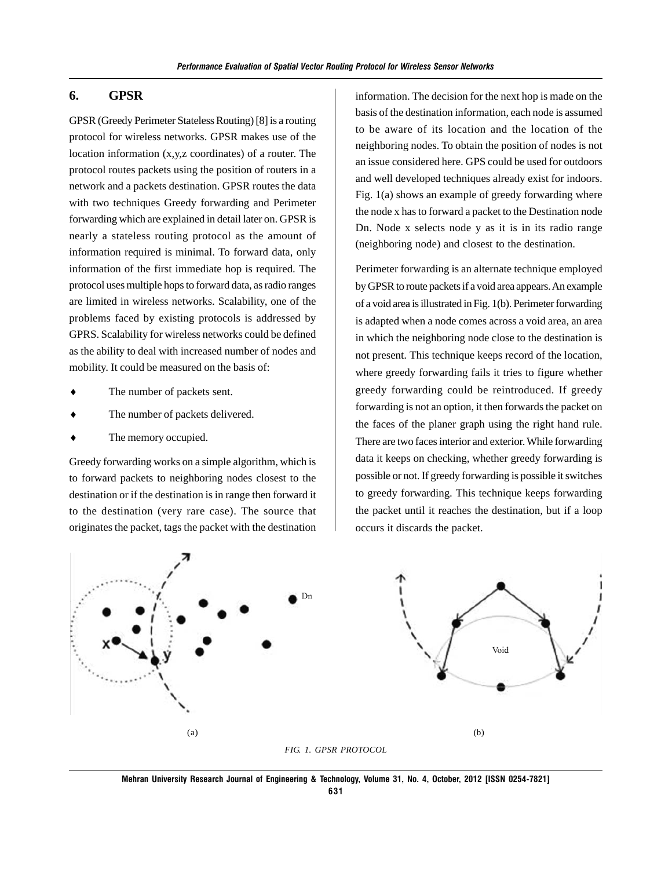#### **6. GPSR**

GPSR (Greedy Perimeter Stateless Routing) [8] is a routing protocol for wireless networks. GPSR makes use of the location information (x,y,z coordinates) of a router. The protocol routes packets using the position of routers in a network and a packets destination. GPSR routes the data with two techniques Greedy forwarding and Perimeter forwarding which are explained in detail later on. GPSR is nearly a stateless routing protocol as the amount of information required is minimal. To forward data, only information of the first immediate hop is required. The protocol uses multiple hops to forward data, as radio ranges are limited in wireless networks. Scalability, one of the problems faced by existing protocols is addressed by GPRS. Scalability for wireless networks could be defined as the ability to deal with increased number of nodes and mobility. It could be measured on the basis of:

- The number of packets sent.
- The number of packets delivered.
- The memory occupied.

Greedy forwarding works on a simple algorithm, which is to forward packets to neighboring nodes closest to the destination or if the destination is in range then forward it to the destination (very rare case). The source that originates the packet, tags the packet with the destination information. The decision for the next hop is made on the basis of the destination information, each node is assumed to be aware of its location and the location of the neighboring nodes. To obtain the position of nodes is not an issue considered here. GPS could be used for outdoors and well developed techniques already exist for indoors. Fig. 1(a) shows an example of greedy forwarding where the node x has to forward a packet to the Destination node Dn. Node x selects node y as it is in its radio range (neighboring node) and closest to the destination.

Perimeter forwarding is an alternate technique employed by GPSR to route packets if a void area appears. An example of a void area is illustrated in Fig. 1(b). Perimeter forwarding is adapted when a node comes across a void area, an area in which the neighboring node close to the destination is not present. This technique keeps record of the location, where greedy forwarding fails it tries to figure whether greedy forwarding could be reintroduced. If greedy forwarding is not an option, it then forwards the packet on the faces of the planer graph using the right hand rule. There are two faces interior and exterior. While forwarding data it keeps on checking, whether greedy forwarding is possible or not. If greedy forwarding is possible it switches to greedy forwarding. This technique keeps forwarding the packet until it reaches the destination, but if a loop occurs it discards the packet.



**Mehran University Research Journal of Engineering & Technology, Volume 31, No. 4, October, 2012 [ISSN 0254-7821] 631**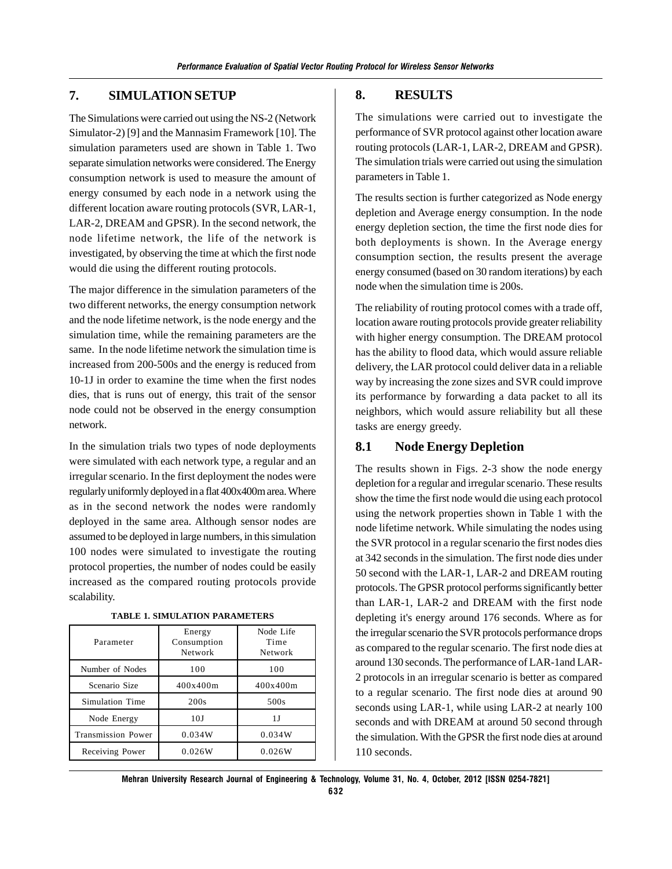## **7. SIMULATION SETUP**

The Simulations were carried out using the NS-2 (Network Simulator-2) [9] and the Mannasim Framework [10]. The simulation parameters used are shown in Table 1. Two separate simulation networks were considered. The Energy consumption network is used to measure the amount of energy consumed by each node in a network using the different location aware routing protocols (SVR, LAR-1, LAR-2, DREAM and GPSR). In the second network, the node lifetime network, the life of the network is investigated, by observing the time at which the first node would die using the different routing protocols.

The major difference in the simulation parameters of the two different networks, the energy consumption network and the node lifetime network, is the node energy and the simulation time, while the remaining parameters are the same. In the node lifetime network the simulation time is increased from 200-500s and the energy is reduced from 10-1J in order to examine the time when the first nodes dies, that is runs out of energy, this trait of the sensor node could not be observed in the energy consumption network.

In the simulation trials two types of node deployments were simulated with each network type, a regular and an irregular scenario. In the first deployment the nodes were regularly uniformly deployed in a flat 400x400m area. Where as in the second network the nodes were randomly deployed in the same area. Although sensor nodes are assumed to be deployed in large numbers, in this simulation 100 nodes were simulated to investigate the routing protocol properties, the number of nodes could be easily increased as the compared routing protocols provide scalability.

| Parameter                 | Energy<br>Consumption<br>Network | Node Life<br>Time<br>Network |
|---------------------------|----------------------------------|------------------------------|
| Number of Nodes           | 100                              | 100                          |
| Scenario Size             | 400x400m                         | 400x400m                     |
| Simulation Time           | 200s                             | 500s                         |
| Node Energy               | 10J                              | 1 J                          |
| <b>Transmission Power</b> | 0.034W                           | 0.034W                       |
| Receiving Power           | 0.026W                           | 0.026W                       |

#### **TABLE 1. SIMULATION PARAMETERS**

#### **8. RESULTS**

The simulations were carried out to investigate the performance of SVR protocol against other location aware routing protocols (LAR-1, LAR-2, DREAM and GPSR). The simulation trials were carried out using the simulation parameters in Table 1.

The results section is further categorized as Node energy depletion and Average energy consumption. In the node energy depletion section, the time the first node dies for both deployments is shown. In the Average energy consumption section, the results present the average energy consumed (based on 30 random iterations) by each node when the simulation time is 200s.

The reliability of routing protocol comes with a trade off, location aware routing protocols provide greater reliability with higher energy consumption. The DREAM protocol has the ability to flood data, which would assure reliable delivery, the LAR protocol could deliver data in a reliable way by increasing the zone sizes and SVR could improve its performance by forwarding a data packet to all its neighbors, which would assure reliability but all these tasks are energy greedy.

## **8.1 Node Energy Depletion**

The results shown in Figs. 2-3 show the node energy depletion for a regular and irregular scenario. These results show the time the first node would die using each protocol using the network properties shown in Table 1 with the node lifetime network. While simulating the nodes using the SVR protocol in a regular scenario the first nodes dies at 342 seconds in the simulation. The first node dies under 50 second with the LAR-1, LAR-2 and DREAM routing protocols. The GPSR protocol performs significantly better than LAR-1, LAR-2 and DREAM with the first node depleting it's energy around 176 seconds. Where as for the irregular scenario the SVR protocols performance drops as compared to the regular scenario. The first node dies at around 130 seconds. The performance of LAR-1and LAR-2 protocols in an irregular scenario is better as compared to a regular scenario. The first node dies at around 90 seconds using LAR-1, while using LAR-2 at nearly 100 seconds and with DREAM at around 50 second through the simulation. With the GPSR the first node dies at around 110 seconds.

**Mehran University Research Journal of Engineering & Technology, Volume 31, No. 4, October, 2012 [ISSN 0254-7821] 632**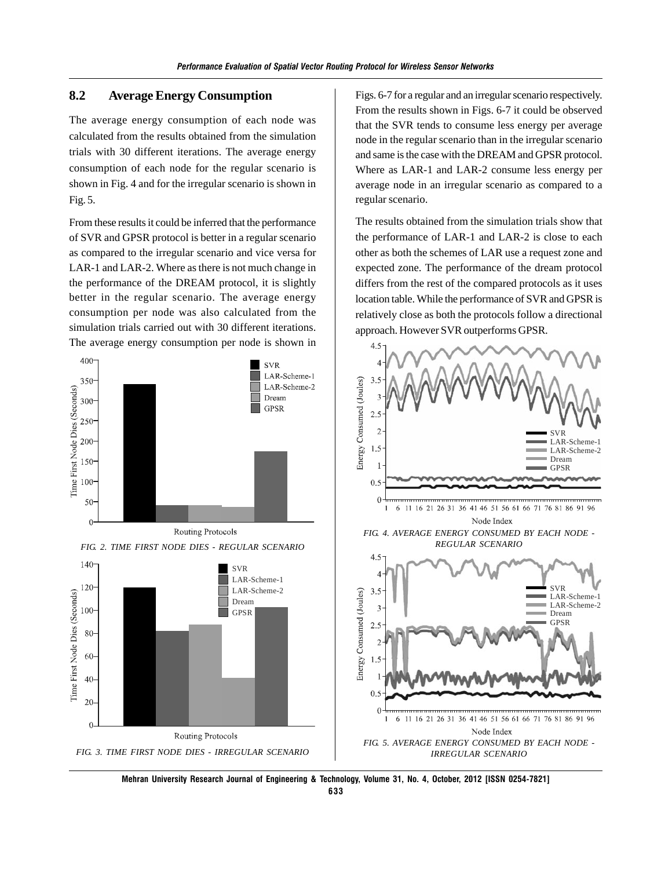## **8.2 Average Energy Consumption**

The average energy consumption of each node was calculated from the results obtained from the simulation trials with 30 different iterations. The average energy consumption of each node for the regular scenario is shown in Fig. 4 and for the irregular scenario is shown in Fig. 5.

From these results it could be inferred that the performance of SVR and GPSR protocol is better in a regular scenario as compared to the irregular scenario and vice versa for LAR-1 and LAR-2. Where as there is not much change in the performance of the DREAM protocol, it is slightly better in the regular scenario. The average energy consumption per node was also calculated from the simulation trials carried out with 30 different iterations. The average energy consumption per node is shown in







Figs. 6-7 for a regular and an irregular scenario respectively. From the results shown in Figs. 6-7 it could be observed that the SVR tends to consume less energy per average node in the regular scenario than in the irregular scenario and same is the case with the DREAM and GPSR protocol. Where as LAR-1 and LAR-2 consume less energy per average node in an irregular scenario as compared to a regular scenario.

The results obtained from the simulation trials show that the performance of LAR-1 and LAR-2 is close to each other as both the schemes of LAR use a request zone and expected zone. The performance of the dream protocol differs from the rest of the compared protocols as it uses location table. While the performance of SVR and GPSR is relatively close as both the protocols follow a directional approach. However SVR outperforms GPSR.



**Mehran University Research Journal of Engineering & Technology, Volume 31, No. 4, October, 2012 [ISSN 0254-7821]**